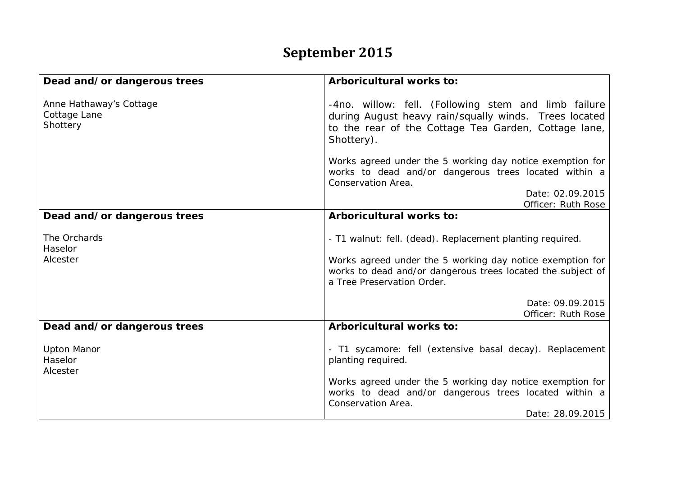## **September 2015**

| Dead and/or dangerous trees                         | Arboricultural works to:                                                                                                                                                                                            |
|-----------------------------------------------------|---------------------------------------------------------------------------------------------------------------------------------------------------------------------------------------------------------------------|
| Anne Hathaway's Cottage<br>Cottage Lane<br>Shottery | -4no. willow: fell. (Following stem and limb failure<br>during August heavy rain/squally winds. Trees located<br>to the rear of the Cottage Tea Garden, Cottage lane,<br>Shottery).                                 |
|                                                     | Works agreed under the 5 working day notice exemption for<br>works to dead and/or dangerous trees located within a<br>Conservation Area.<br>Date: 02.09.2015                                                        |
|                                                     | Officer: Ruth Rose                                                                                                                                                                                                  |
| Dead and/or dangerous trees                         | Arboricultural works to:                                                                                                                                                                                            |
| The Orchards<br>Haselor<br>Alcester                 | - T1 walnut: fell. (dead). Replacement planting required.<br>Works agreed under the 5 working day notice exemption for<br>works to dead and/or dangerous trees located the subject of<br>a Tree Preservation Order. |
|                                                     | Date: 09.09.2015<br>Officer: Ruth Rose                                                                                                                                                                              |
| Dead and/or dangerous trees                         | Arboricultural works to:                                                                                                                                                                                            |
| <b>Upton Manor</b><br>Haselor<br>Alcester           | - T1 sycamore: fell (extensive basal decay). Replacement<br>planting required.                                                                                                                                      |
|                                                     | Works agreed under the 5 working day notice exemption for<br>works to dead and/or dangerous trees located within a<br>Conservation Area.<br>Date: 28.09.2015                                                        |
|                                                     |                                                                                                                                                                                                                     |